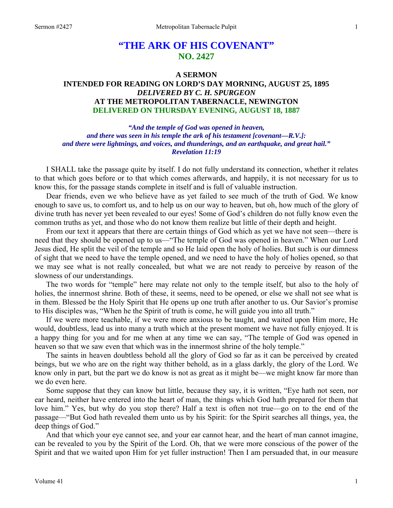# **"THE ARK OF HIS COVENANT" NO. 2427**

# **A SERMON INTENDED FOR READING ON LORD'S DAY MORNING, AUGUST 25, 1895**  *DELIVERED BY C. H. SPURGEON*  **AT THE METROPOLITAN TABERNACLE, NEWINGTON DELIVERED ON THURSDAY EVENING, AUGUST 18, 1887**

*"And the temple of God was opened in heaven, and there was seen in his temple the ark of his testament [covenant—R.V.]: and there were lightnings, and voices, and thunderings, and an earthquake, and great hail." Revelation 11:19* 

I SHALL take the passage quite by itself. I do not fully understand its connection, whether it relates to that which goes before or to that which comes afterwards, and happily, it is not necessary for us to know this, for the passage stands complete in itself and is full of valuable instruction.

Dear friends, even we who believe have as yet failed to see much of the truth of God. We know enough to save us, to comfort us, and to help us on our way to heaven, but oh, how much of the glory of divine truth has never yet been revealed to our eyes! Some of God's children do not fully know even the common truths as yet, and those who do not know them realize but little of their depth and height.

From our text it appears that there are certain things of God which as yet we have not seen—there is need that they should be opened up to us—"The temple of God was opened in heaven." When our Lord Jesus died, He split the veil of the temple and so He laid open the holy of holies. But such is our dimness of sight that we need to have the temple opened, and we need to have the holy of holies opened, so that we may see what is not really concealed, but what we are not ready to perceive by reason of the slowness of our understandings.

The two words for "temple" here may relate not only to the temple itself, but also to the holy of holies, the innermost shrine. Both of these, it seems, need to be opened, or else we shall not see what is in them. Blessed be the Holy Spirit that He opens up one truth after another to us. Our Savior's promise to His disciples was, "When he the Spirit of truth is come, he will guide you into all truth."

If we were more teachable, if we were more anxious to be taught, and waited upon Him more, He would, doubtless, lead us into many a truth which at the present moment we have not fully enjoyed. It is a happy thing for you and for me when at any time we can say, "The temple of God was opened in heaven so that we saw even that which was in the innermost shrine of the holy temple."

The saints in heaven doubtless behold all the glory of God so far as it can be perceived by created beings, but we who are on the right way thither behold, as in a glass darkly, the glory of the Lord. We know only in part, but the part we do know is not as great as it might be—we might know far more than we do even here.

Some suppose that they can know but little, because they say, it is written, "Eye hath not seen, nor ear heard, neither have entered into the heart of man, the things which God hath prepared for them that love him." Yes, but why do you stop there? Half a text is often not true—go on to the end of the passage—"But God hath revealed them unto us by his Spirit: for the Spirit searches all things, yea, the deep things of God."

And that which your eye cannot see, and your ear cannot hear, and the heart of man cannot imagine, can be revealed to you by the Spirit of the Lord. Oh, that we were more conscious of the power of the Spirit and that we waited upon Him for yet fuller instruction! Then I am persuaded that, in our measure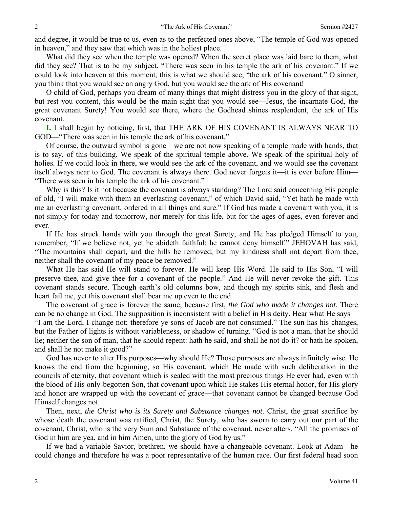and degree, it would be true to us, even as to the perfected ones above, "The temple of God was opened in heaven," and they saw that which was in the holiest place.

What did they see when the temple was opened? When the secret place was laid bare to them, what did they see? That is to be my subject. "There was seen in his temple the ark of his covenant." If we could look into heaven at this moment, this is what we should see, "the ark of his covenant." O sinner, you think that you would see an angry God, but you would see the ark of His covenant!

O child of God, perhaps you dream of many things that might distress you in the glory of that sight, but rest you content, this would be the main sight that you would see—Jesus, the incarnate God, the great covenant Surety! You would see there, where the Godhead shines resplendent, the ark of His covenant.

**I.** I shall begin by noticing, first, that THE ARK OF HIS COVENANT IS ALWAYS NEAR TO GOD—"There was seen in his temple the ark of his covenant."

Of course, the outward symbol is gone—we are not now speaking of a temple made with hands, that is to say, of this building. We speak of the spiritual temple above. We speak of the spiritual holy of holies. If we could look in there, we would see the ark of the covenant, and we would see the covenant itself always near to God. The covenant is always there. God never forgets it—it is ever before Him— "There was seen in his temple the ark of his covenant."

Why is this? Is it not because the covenant is always standing? The Lord said concerning His people of old, "I will make with them an everlasting covenant," of which David said, "Yet hath he made with me an everlasting covenant, ordered in all things and sure." If God has made a covenant with you, it is not simply for today and tomorrow, nor merely for this life, but for the ages of ages, even forever and ever.

If He has struck hands with you through the great Surety, and He has pledged Himself to you, remember, "If we believe not, yet he abideth faithful: he cannot deny himself." JEHOVAH has said, "The mountains shall depart, and the hills be removed; but my kindness shall not depart from thee, neither shall the covenant of my peace be removed."

What He has said He will stand to forever. He will keep His Word. He said to His Son, "I will preserve thee, and give thee for a covenant of the people." And He will never revoke the gift. This covenant stands secure. Though earth's old columns bow, and though my spirits sink, and flesh and heart fail me, yet this covenant shall bear me up even to the end.

The covenant of grace is forever the same, because first, *the God who made it changes not*. There can be no change in God. The supposition is inconsistent with a belief in His deity. Hear what He says— "I am the Lord, I change not; therefore ye sons of Jacob are not consumed." The sun has his changes, but the Father of lights is without variableness, or shadow of turning. "God is not a man, that he should lie; neither the son of man, that he should repent: hath he said, and shall he not do it? or hath he spoken, and shall he not make it good?"

God has never to alter His purposes—why should He? Those purposes are always infinitely wise. He knows the end from the beginning, so His covenant, which He made with such deliberation in the councils of eternity, that covenant which is sealed with the most precious things He ever had, even with the blood of His only-begotten Son, that covenant upon which He stakes His eternal honor, for His glory and honor are wrapped up with the covenant of grace—that covenant cannot be changed because God Himself changes not.

Then, next, *the Christ who is its Surety and Substance changes not*. Christ, the great sacrifice by whose death the covenant was ratified, Christ, the Surety, who has sworn to carry out our part of the covenant, Christ, who is the very Sum and Substance of the covenant, never alters. "All the promises of God in him are yea, and in him Amen, unto the glory of God by us."

If we had a variable Savior, brethren, we should have a changeable covenant. Look at Adam—he could change and therefore he was a poor representative of the human race. Our first federal head soon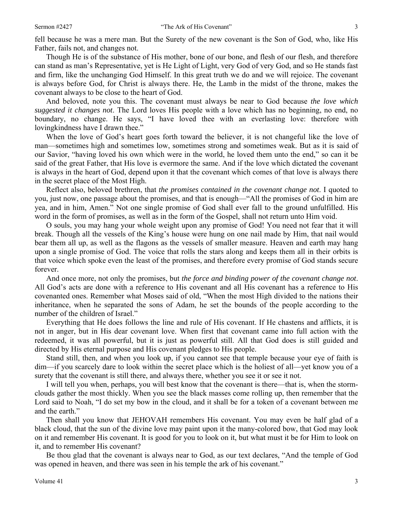fell because he was a mere man. But the Surety of the new covenant is the Son of God, who, like His Father, fails not, and changes not.

Though He is of the substance of His mother, bone of our bone, and flesh of our flesh, and therefore can stand as man's Representative, yet is He Light of Light, very God of very God, and so He stands fast and firm, like the unchanging God Himself. In this great truth we do and we will rejoice. The covenant is always before God, for Christ is always there. He, the Lamb in the midst of the throne, makes the covenant always to be close to the heart of God.

And beloved, note you this. The covenant must always be near to God because *the love which suggested it changes not*. The Lord loves His people with a love which has no beginning, no end, no boundary, no change. He says, "I have loved thee with an everlasting love: therefore with lovingkindness have I drawn thee."

When the love of God's heart goes forth toward the believer, it is not changeful like the love of man—sometimes high and sometimes low, sometimes strong and sometimes weak. But as it is said of our Savior, "having loved his own which were in the world, he loved them unto the end," so can it be said of the great Father, that His love is evermore the same. And if the love which dictated the covenant is always in the heart of God, depend upon it that the covenant which comes of that love is always there in the secret place of the Most High.

Reflect also, beloved brethren, that *the promises contained in the covenant change not*. I quoted to you, just now, one passage about the promises, and that is enough—"All the promises of God in him are yea, and in him, Amen." Not one single promise of God shall ever fall to the ground unfulfilled. His word in the form of promises, as well as in the form of the Gospel, shall not return unto Him void.

O souls, you may hang your whole weight upon any promise of God! You need not fear that it will break. Though all the vessels of the King's house were hung on one nail made by Him, that nail would bear them all up, as well as the flagons as the vessels of smaller measure. Heaven and earth may hang upon a single promise of God. The voice that rolls the stars along and keeps them all in their orbits is that voice which spoke even the least of the promises, and therefore every promise of God stands secure forever.

And once more, not only the promises, but *the force and binding power of the covenant change not*. All God's acts are done with a reference to His covenant and all His covenant has a reference to His covenanted ones. Remember what Moses said of old, "When the most High divided to the nations their inheritance, when he separated the sons of Adam, he set the bounds of the people according to the number of the children of Israel."

Everything that He does follows the line and rule of His covenant. If He chastens and afflicts, it is not in anger, but in His dear covenant love. When first that covenant came into full action with the redeemed, it was all powerful, but it is just as powerful still. All that God does is still guided and directed by His eternal purpose and His covenant pledges to His people.

Stand still, then, and when you look up, if you cannot see that temple because your eye of faith is dim—if you scarcely dare to look within the secret place which is the holiest of all—yet know you of a surety that the covenant is still there, and always there, whether you see it or see it not.

I will tell you when, perhaps, you will best know that the covenant is there—that is, when the stormclouds gather the most thickly. When you see the black masses come rolling up, then remember that the Lord said to Noah, "I do set my bow in the cloud, and it shall be for a token of a covenant between me and the earth."

Then shall you know that JEHOVAH remembers His covenant. You may even be half glad of a black cloud, that the sun of the divine love may paint upon it the many-colored bow, that God may look on it and remember His covenant. It is good for you to look on it, but what must it be for Him to look on it, and to remember His covenant?

Be thou glad that the covenant is always near to God, as our text declares, "And the temple of God was opened in heaven, and there was seen in his temple the ark of his covenant."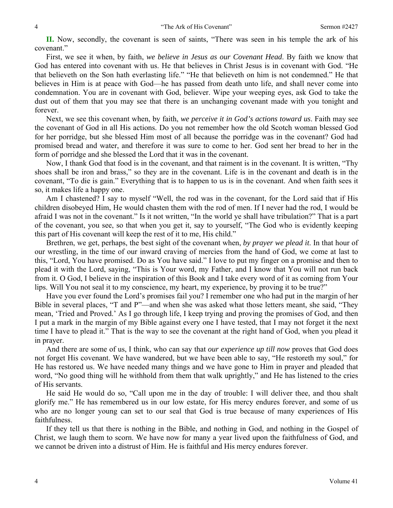**II.** Now, secondly, the covenant is seen of saints, "There was seen in his temple the ark of his covenant."

First, we see it when, by faith, *we believe in Jesus as our Covenant Head*. By faith we know that God has entered into covenant with us. He that believes in Christ Jesus is in covenant with God. "He that believeth on the Son hath everlasting life." "He that believeth on him is not condemned." He that believes in Him is at peace with God—he has passed from death unto life, and shall never come into condemnation. You are in covenant with God, believer. Wipe your weeping eyes, ask God to take the dust out of them that you may see that there is an unchanging covenant made with you tonight and forever.

Next, we see this covenant when, by faith, *we perceive it in God's actions toward us*. Faith may see the covenant of God in all His actions. Do you not remember how the old Scotch woman blessed God for her porridge, but she blessed Him most of all because the porridge was in the covenant? God had promised bread and water, and therefore it was sure to come to her. God sent her bread to her in the form of porridge and she blessed the Lord that it was in the covenant.

Now, I thank God that food is in the covenant, and that raiment is in the covenant. It is written, "Thy shoes shall be iron and brass," so they are in the covenant. Life is in the covenant and death is in the covenant, "To die is gain." Everything that is to happen to us is in the covenant. And when faith sees it so, it makes life a happy one.

Am I chastened? I say to myself "Well, the rod was in the covenant, for the Lord said that if His children disobeyed Him, He would chasten them with the rod of men. If I never had the rod, I would be afraid I was not in the covenant." Is it not written, "In the world ye shall have tribulation?" That is a part of the covenant, you see, so that when you get it, say to yourself, "The God who is evidently keeping this part of His covenant will keep the rest of it to me, His child."

Brethren, we get, perhaps, the best sight of the covenant when, *by prayer we plead it*. In that hour of our wrestling, in the time of our inward craving of mercies from the hand of God, we come at last to this, "Lord, You have promised. Do as You have said." I love to put my finger on a promise and then to plead it with the Lord, saying, "This is Your word, my Father, and I know that You will not run back from it. O God, I believe in the inspiration of this Book and I take every word of it as coming from Your lips. Will You not seal it to my conscience, my heart, my experience, by proving it to be true?"

Have you ever found the Lord's promises fail you? I remember one who had put in the margin of her Bible in several places, "T and P"—and when she was asked what those letters meant, she said, "They mean, 'Tried and Proved.' As I go through life, I keep trying and proving the promises of God, and then I put a mark in the margin of my Bible against every one I have tested, that I may not forget it the next time I have to plead it." That is the way to see the covenant at the right hand of God, when you plead it in prayer.

And there are some of us, I think, who can say that *our experience up till now* proves that God does not forget His covenant. We have wandered, but we have been able to say, "He restoreth my soul," for He has restored us. We have needed many things and we have gone to Him in prayer and pleaded that word, "No good thing will he withhold from them that walk uprightly," and He has listened to the cries of His servants.

He said He would do so, "Call upon me in the day of trouble: I will deliver thee, and thou shalt glorify me." He has remembered us in our low estate, for His mercy endures forever, and some of us who are no longer young can set to our seal that God is true because of many experiences of His faithfulness.

If they tell us that there is nothing in the Bible, and nothing in God, and nothing in the Gospel of Christ, we laugh them to scorn. We have now for many a year lived upon the faithfulness of God, and we cannot be driven into a distrust of Him. He is faithful and His mercy endures forever.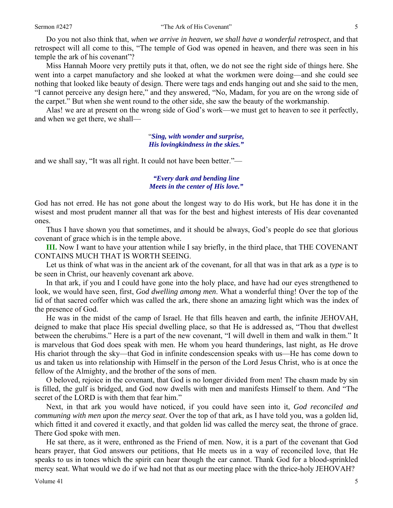Do you not also think that, *when we arrive in heaven, we shall have a wonderful retrospect*, and that retrospect will all come to this, "The temple of God was opened in heaven, and there was seen in his temple the ark of his covenant"?

Miss Hannah Moore very prettily puts it that, often, we do not see the right side of things here. She went into a carpet manufactory and she looked at what the workmen were doing—and she could see nothing that looked like beauty of design. There were tags and ends hanging out and she said to the men, "I cannot perceive any design here," and they answered, "No, Madam, for you are on the wrong side of the carpet." But when she went round to the other side, she saw the beauty of the workmanship.

Alas! we are at present on the wrong side of God's work—we must get to heaven to see it perfectly, and when we get there, we shall—

> "*Sing, with wonder and surprise, His lovingkindness in the skies."*

and we shall say, "It was all right. It could not have been better."—

#### *"Every dark and bending line Meets in the center of His love."*

God has not erred. He has not gone about the longest way to do His work, but He has done it in the wisest and most prudent manner all that was for the best and highest interests of His dear covenanted ones.

Thus I have shown you that sometimes, and it should be always, God's people do see that glorious covenant of grace which is in the temple above.

**III.** Now I want to have your attention while I say briefly, in the third place, that THE COVENANT CONTAINS MUCH THAT IS WORTH SEEING.

Let us think of what was in the ancient ark of the covenant, for all that was in that ark as a *type* is to be seen in Christ, our heavenly covenant ark above.

In that ark, if you and I could have gone into the holy place, and have had our eyes strengthened to look, we would have seen, first, *God dwelling among men*. What a wonderful thing! Over the top of the lid of that sacred coffer which was called the ark, there shone an amazing light which was the index of the presence of God.

He was in the midst of the camp of Israel. He that fills heaven and earth, the infinite JEHOVAH, deigned to make that place His special dwelling place, so that He is addressed as, "Thou that dwellest between the cherubims." Here is a part of the new covenant, "I will dwell in them and walk in them." It is marvelous that God does speak with men. He whom you heard thunderings, last night, as He drove His chariot through the sky—that God in infinite condescension speaks with us—He has come down to us and taken us into relationship with Himself in the person of the Lord Jesus Christ, who is at once the fellow of the Almighty, and the brother of the sons of men.

O beloved, rejoice in the covenant, that God is no longer divided from men! The chasm made by sin is filled, the gulf is bridged, and God now dwells with men and manifests Himself to them. And "The secret of the LORD is with them that fear him."

Next, in that ark you would have noticed, if you could have seen into it, *God reconciled and communing with men upon the mercy seat*. Over the top of that ark, as I have told you, was a golden lid, which fitted it and covered it exactly, and that golden lid was called the mercy seat, the throne of grace. There God spoke with men.

He sat there, as it were, enthroned as the Friend of men. Now, it is a part of the covenant that God hears prayer, that God answers our petitions, that He meets us in a way of reconciled love, that He speaks to us in tones which the spirit can hear though the ear cannot. Thank God for a blood-sprinkled mercy seat. What would we do if we had not that as our meeting place with the thrice-holy JEHOVAH?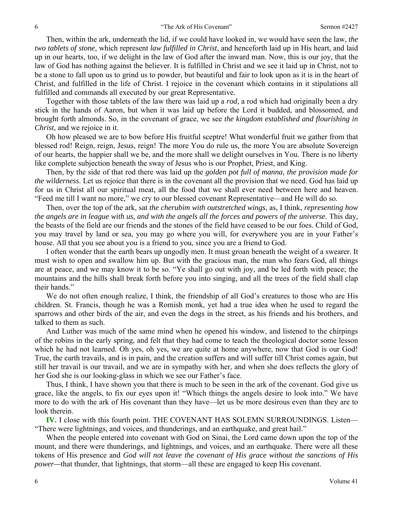Then, within the ark, underneath the lid, if we could have looked in, we would have seen the law, *the two tablets of stone*, which represent *law fulfilled in Christ*, and henceforth laid up in His heart, and laid up in our hearts, too, if we delight in the law of God after the inward man. Now, this is our joy, that the law of God has nothing against the believer. It is fulfilled in Christ and we see it laid up in Christ, not to be a stone to fall upon us to grind us to powder, but beautiful and fair to look upon as it is in the heart of Christ, and fulfilled in the life of Christ. I rejoice in the covenant which contains in it stipulations all fulfilled and commands all executed by our great Representative.

Together with those tablets of the law there was laid up a *rod*, a rod which had originally been a dry stick in the hands of Aaron, but when it was laid up before the Lord it budded, and blossomed, and brought forth almonds. So, in the covenant of grace, we see *the kingdom established and flourishing in Christ*, and we rejoice in it.

Oh how pleased we are to bow before His fruitful sceptre! What wonderful fruit we gather from that blessed rod! Reign, reign, Jesus, reign! The more You do rule us, the more You are absolute Sovereign of our hearts, the happier shall we be, and the more shall we delight ourselves in You. There is no liberty like complete subjection beneath the sway of Jesus who is our Prophet, Priest, and King.

Then, by the side of that rod there was laid up the *golden pot full of manna, the provision made for the wilderness*. Let us rejoice that there is in the covenant all the provision that we need. God has laid up for us in Christ all our spiritual meat, all the food that we shall ever need between here and heaven. "Feed me till I want no more," we cry to our blessed covenant Representative—and He will do so.

Then, over the top of the ark, sat *the cherubim with outstretched wings*, as, I think, *representing how the angels are in league with us, and with the angels all the forces and powers of the universe.* This day, the beasts of the field are our friends and the stones of the field have ceased to be our foes. Child of God, you may travel by land or sea, you may go where you will, for everywhere you are in your Father's house. All that you see about you is a friend to you, since you are a friend to God.

I often wonder that the earth bears up ungodly men. It must groan beneath the weight of a swearer. It must wish to open and swallow him up. But with the gracious man, the man who fears God, all things are at peace, and we may know it to be so. "Ye shall go out with joy, and be led forth with peace; the mountains and the hills shall break forth before you into singing, and all the trees of the field shall clap their hands."

We do not often enough realize, I think, the friendship of all God's creatures to those who are His children. St. Francis, though he was a Romish monk, yet had a true idea when he used to regard the sparrows and other birds of the air, and even the dogs in the street, as his friends and his brothers, and talked to them as such.

And Luther was much of the same mind when he opened his window, and listened to the chirpings of the robins in the early spring, and felt that they had come to teach the theological doctor some lesson which he had not learned. Oh yes, oh yes, we are quite at home anywhere, now that God is our God! True, the earth travails, and is in pain, and the creation suffers and will suffer till Christ comes again, but still her travail is our travail, and we are in sympathy with her, and when she does reflects the glory of her God she is our looking-glass in which we see our Father's face.

Thus, I think, I have shown you that there is much to be seen in the ark of the covenant. God give us grace, like the angels, to fix our eyes upon it! "Which things the angels desire to look into." We have more to do with the ark of His covenant than they have—let us be more desirous even than they are to look therein.

**IV.** I close with this fourth point. THE COVENANT HAS SOLEMN SURROUNDINGS. Listen— "There were lightnings, and voices, and thunderings, and an earthquake, and great hail."

When the people entered into covenant with God on Sinai, the Lord came down upon the top of the mount, and there were thunderings, and lightnings, and voices, and an earthquake. There were all these tokens of His presence and *God will not leave the covenant of His grace without the sanctions of His power—*that thunder, that lightnings, that storm—all these are engaged to keep His covenant.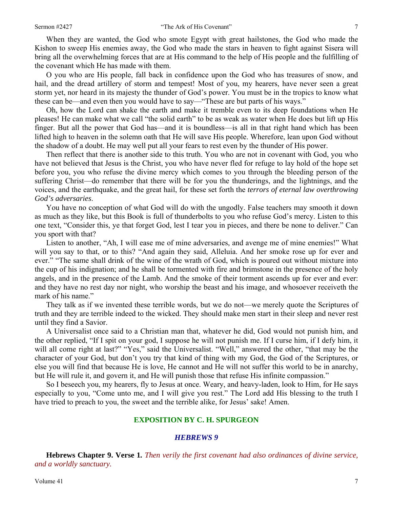When they are wanted, the God who smote Egypt with great hailstones, the God who made the Kishon to sweep His enemies away, the God who made the stars in heaven to fight against Sisera will bring all the overwhelming forces that are at His command to the help of His people and the fulfilling of the covenant which He has made with them.

O you who are His people, fall back in confidence upon the God who has treasures of snow, and hail, and the dread artillery of storm and tempest! Most of you, my hearers, have never seen a great storm yet, nor heard in its majesty the thunder of God's power. You must be in the tropics to know what these can be—and even then you would have to say—"These are but parts of his ways."

Oh, how the Lord can shake the earth and make it tremble even to its deep foundations when He pleases! He can make what we call "the solid earth" to be as weak as water when He does but lift up His finger. But all the power that God has—and it is boundless—is all in that right hand which has been lifted high to heaven in the solemn oath that He will save His people. Wherefore, lean upon God without the shadow of a doubt. He may well put all your fears to rest even by the thunder of His power.

Then reflect that there is another side to this truth. You who are not in covenant with God, you who have not believed that Jesus is the Christ, you who have never fled for refuge to lay hold of the hope set before you, you who refuse the divine mercy which comes to you through the bleeding person of the suffering Christ—do remember that there will be for you the thunderings, and the lightnings, and the voices, and the earthquake, and the great hail, for these set forth the *terrors of eternal law overthrowing God's adversaries*.

You have no conception of what God will do with the ungodly. False teachers may smooth it down as much as they like, but this Book is full of thunderbolts to you who refuse God's mercy. Listen to this one text, "Consider this, ye that forget God, lest I tear you in pieces, and there be none to deliver." Can you sport with that?

Listen to another, "Ah, I will ease me of mine adversaries, and avenge me of mine enemies!" What will you say to that, or to this? "And again they said, Alleluia. And her smoke rose up for ever and ever." "The same shall drink of the wine of the wrath of God, which is poured out without mixture into the cup of his indignation; and he shall be tormented with fire and brimstone in the presence of the holy angels, and in the presence of the Lamb. And the smoke of their torment ascends up for ever and ever: and they have no rest day nor night, who worship the beast and his image, and whosoever receiveth the mark of his name."

They talk as if we invented these terrible words, but we do not—we merely quote the Scriptures of truth and they are terrible indeed to the wicked. They should make men start in their sleep and never rest until they find a Savior.

A Universalist once said to a Christian man that, whatever he did, God would not punish him, and the other replied, "If I spit on your god, I suppose he will not punish me. If I curse him, if I defy him, it will all come right at last?" "Yes," said the Universalist. "Well," answered the other, "that may be the character of your God, but don't you try that kind of thing with my God, the God of the Scriptures, or else you will find that because He is love, He cannot and He will not suffer this world to be in anarchy, but He will rule it, and govern it, and He will punish those that refuse His infinite compassion."

So I beseech you, my hearers, fly to Jesus at once. Weary, and heavy-laden, look to Him, for He says especially to you, "Come unto me, and I will give you rest." The Lord add His blessing to the truth I have tried to preach to you, the sweet and the terrible alike, for Jesus' sake! Amen.

#### **EXPOSITION BY C. H. SPURGEON**

#### *HEBREWS 9*

**Hebrews Chapter 9. Verse 1***. Then verily the first covenant had also ordinances of divine service, and a worldly sanctuary.*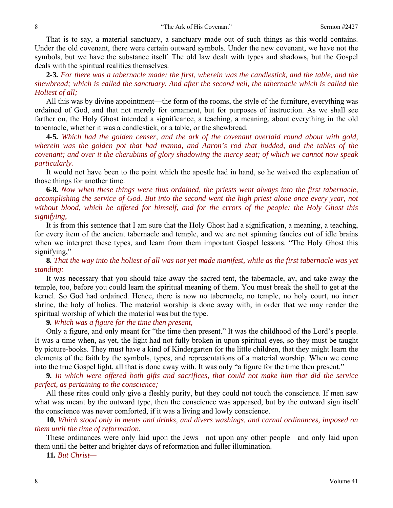That is to say, a material sanctuary, a sanctuary made out of such things as this world contains. Under the old covenant, there were certain outward symbols. Under the new covenant, we have not the symbols, but we have the substance itself. The old law dealt with types and shadows, but the Gospel deals with the spiritual realities themselves.

**2***-***3***. For there was a tabernacle made; the first, wherein was the candlestick, and the table, and the shewbread; which is called the sanctuary. And after the second veil, the tabernacle which is called the Holiest of all;*

All this was by divine appointment—the form of the rooms, the style of the furniture, everything was ordained of God, and that not merely for ornament, but for purposes of instruction. As we shall see farther on, the Holy Ghost intended a significance, a teaching, a meaning, about everything in the old tabernacle, whether it was a candlestick, or a table, or the shewbread.

**4***-***5***. Which had the golden censer, and the ark of the covenant overlaid round about with gold, wherein was the golden pot that had manna, and Aaron's rod that budded, and the tables of the covenant; and over it the cherubims of glory shadowing the mercy seat; of which we cannot now speak particularly.*

It would not have been to the point which the apostle had in hand, so he waived the explanation of those things for another time.

**6***-***8***. Now when these things were thus ordained, the priests went always into the first tabernacle, accomplishing the service of God. But into the second went the high priest alone once every year, not without blood, which he offered for himself, and for the errors of the people: the Holy Ghost this signifying,* 

It is from this sentence that I am sure that the Holy Ghost had a signification, a meaning, a teaching, for every item of the ancient tabernacle and temple, and we are not spinning fancies out of idle brains when we interpret these types, and learn from them important Gospel lessons. "The Holy Ghost this signifying,"—

## **8***. That the way into the holiest of all was not yet made manifest, while as the first tabernacle was yet standing:*

It was necessary that you should take away the sacred tent, the tabernacle, ay, and take away the temple, too, before you could learn the spiritual meaning of them. You must break the shell to get at the kernel. So God had ordained. Hence, there is now no tabernacle, no temple, no holy court, no inner shrine, the holy of holies. The material worship is done away with, in order that we may render the spiritual worship of which the material was but the type.

**9***. Which was a figure for the time then present,*

Only a figure, and only meant for "the time then present." It was the childhood of the Lord's people. It was a time when, as yet, the light had not fully broken in upon spiritual eyes, so they must be taught by picture-books. They must have a kind of Kindergarten for the little children, that they might learn the elements of the faith by the symbols, types, and representations of a material worship. When we come into the true Gospel light, all that is done away with. It was only "a figure for the time then present."

**9***. In which were offered both gifts and sacrifices, that could not make him that did the service perfect, as pertaining to the conscience;*

All these rites could only give a fleshly purity, but they could not touch the conscience. If men saw what was meant by the outward type, then the conscience was appeased, but by the outward sign itself the conscience was never comforted, if it was a living and lowly conscience.

**10***. Which stood only in meats and drinks, and divers washings, and carnal ordinances, imposed on them until the time of reformation.* 

These ordinances were only laid upon the Jews—not upon any other people—and only laid upon them until the better and brighter days of reformation and fuller illumination.

**11***. But Christ—*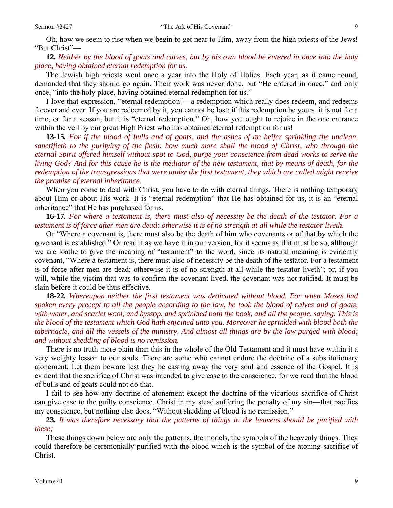Oh, how we seem to rise when we begin to get near to Him, away from the high priests of the Jews! "But Christ"—

**12***. Neither by the blood of goats and calves, but by his own blood he entered in once into the holy place, having obtained eternal redemption for us.*

The Jewish high priests went once a year into the Holy of Holies. Each year, as it came round, demanded that they should go again. Their work was never done, but "He entered in once," and only once, "into the holy place, having obtained eternal redemption for us."

I love that expression, "eternal redemption"—a redemption which really does redeem, and redeems forever and ever. If you are redeemed by it, you cannot be lost; if this redemption be yours, it is not for a time, or for a season, but it is "eternal redemption." Oh, how you ought to rejoice in the one entrance within the veil by our great High Priest who has obtained eternal redemption for us!

**13***-***15***. For if the blood of bulls and of goats, and the ashes of an heifer sprinkling the unclean, sanctifieth to the purifying of the flesh: how much more shall the blood of Christ, who through the eternal Spirit offered himself without spot to God, purge your conscience from dead works to serve the living God? And for this cause he is the mediator of the new testament, that by means of death, for the redemption of the transgressions that were under the first testament, they which are called might receive the promise of eternal inheritance.* 

When you come to deal with Christ, you have to do with eternal things. There is nothing temporary about Him or about His work. It is "eternal redemption" that He has obtained for us, it is an "eternal inheritance" that He has purchased for us.

**16***-***17***. For where a testament is, there must also of necessity be the death of the testator. For a testament is of force after men are dead: otherwise it is of no strength at all while the testator liveth.*

Or "Where a covenant is, there must also be the death of him who covenants or of that by which the covenant is established." Or read it as we have it in our version, for it seems as if it must be so, although we are loathe to give the meaning of "testament" to the word, since its natural meaning is evidently covenant, "Where a testament is, there must also of necessity be the death of the testator. For a testament is of force after men are dead; otherwise it is of no strength at all while the testator liveth"; or, if you will, while the victim that was to confirm the covenant lived, the covenant was not ratified. It must be slain before it could be thus effective.

**18***-***22***. Whereupon neither the first testament was dedicated without blood. For when Moses had spoken every precept to all the people according to the law, he took the blood of calves and of goats, with water, and scarlet wool, and hyssop, and sprinkled both the book, and all the people, saying, This is the blood of the testament which God hath enjoined unto you. Moreover he sprinkled with blood both the tabernacle, and all the vessels of the ministry. And almost all things are by the law purged with blood; and without shedding of blood is no remission.*

There is no truth more plain than this in the whole of the Old Testament and it must have within it a very weighty lesson to our souls. There are some who cannot endure the doctrine of a substitutionary atonement. Let them beware lest they be casting away the very soul and essence of the Gospel. It is evident that the sacrifice of Christ was intended to give ease to the conscience, for we read that the blood of bulls and of goats could not do that.

I fail to see how any doctrine of atonement except the doctrine of the vicarious sacrifice of Christ can give ease to the guilty conscience. Christ in my stead suffering the penalty of my sin—that pacifies my conscience, but nothing else does, "Without shedding of blood is no remission."

**23***. It was therefore necessary that the patterns of things in the heavens should be purified with these;*

These things down below are only the patterns, the models, the symbols of the heavenly things. They could therefore be ceremonially purified with the blood which is the symbol of the atoning sacrifice of Christ.